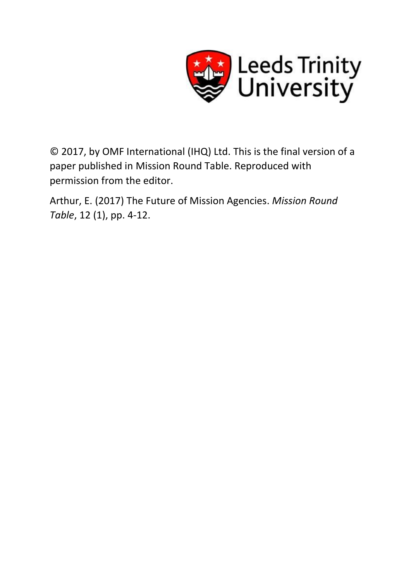

© 2017, by OMF International (IHQ) Ltd. This is the final version of a paper published in Mission Round Table. Reproduced with permission from the editor.

Arthur, E. (2017) The Future of Mission Agencies. *Mission Round Table*, 12 (1), pp. 4-12.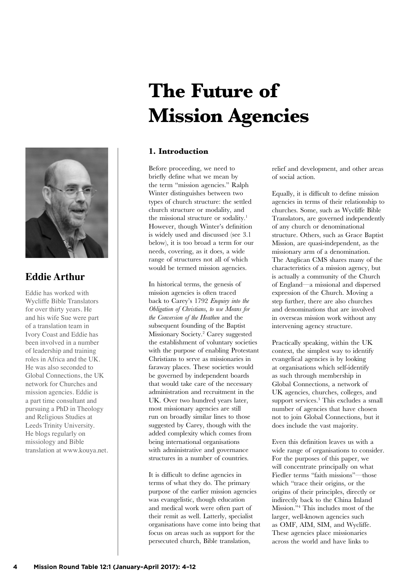

## **Eddie Arthur**

Eddie has worked with Wycliffe Bible Translators for over thirty years. He and his wife Sue were part of a translation team in Ivory Coast and Eddie has been involved in a number of leadership and training roles in Africa and the UK. He was also seconded to Global Connections, the UK network for Churches and mission agencies. Eddie is a part time consultant and pursuing a PhD in Theology and Religious Studies at Leeds Trinity University. He blogs regularly on missiology and Bible translation at www.kouya.net.

# **The Future of Mission Agencies**

## **1. Introduction**

Before proceeding, we need to briefly define what we mean by the term "mission agencies." Ralph Winter distinguishes between two types of church structure: the settled church structure or modality, and the missional structure or sodality.<sup>1</sup> However, though Winter's definition is widely used and discussed (see 3.1 below), it is too broad a term for our needs, covering, as it does, a wide range of structures not all of which would be termed mission agencies.

In historical terms, the genesis of mission agencies is often traced back to Carey's 1792 *Enquiry into the Obligation of Christians, to use Means for the Conversion of the Heathen* and the subsequent founding of the Baptist Missionary Society.2 Carey suggested the establishment of voluntary societies with the purpose of enabling Protestant Christians to serve as missionaries in faraway places. These societies would be governed by independent boards that would take care of the necessary administration and recruitment in the UK. Over two hundred years later, most missionary agencies are still run on broadly similar lines to those suggested by Carey, though with the added complexity which comes from being international organisations with administrative and governance structures in a number of countries.

It is difficult to define agencies in terms of what they do. The primary purpose of the earlier mission agencies was evangelistic, though education and medical work were often part of their remit as well. Latterly, specialist organisations have come into being that focus on areas such as support for the persecuted church, Bible translation,

relief and development, and other areas of social action.

Equally, it is difficult to define mission agencies in terms of their relationship to churches. Some, such as Wycliffe Bible Translators, are governed independently of any church or denominational structure. Others, such as Grace Baptist Mission, are quasi-independent, as the missionary arm of a denomination. The Anglican CMS shares many of the characteristics of a mission agency, but is actually a community of the Church of England—a missional and dispersed expression of the Church. Moving a step further, there are also churches and denominations that are involved in overseas mission work without any intervening agency structure.

Practically speaking, within the UK context, the simplest way to identify evangelical agencies is by looking at organisations which self-identify as such through membership in Global Connections, a network of UK agencies, churches, colleges, and support services.3 This excludes a small number of agencies that have chosen not to join Global Connections, but it does include the vast majority.

Even this definition leaves us with a wide range of organisations to consider. For the purposes of this paper, we will concentrate principally on what Fiedler terms "faith missions"—those which "trace their origins, or the origins of their principles, directly or indirectly back to the China Inland Mission."4 This includes most of the larger, well-known agencies such as OMF, AIM, SIM, and Wycliffe. These agencies place missionaries across the world and have links to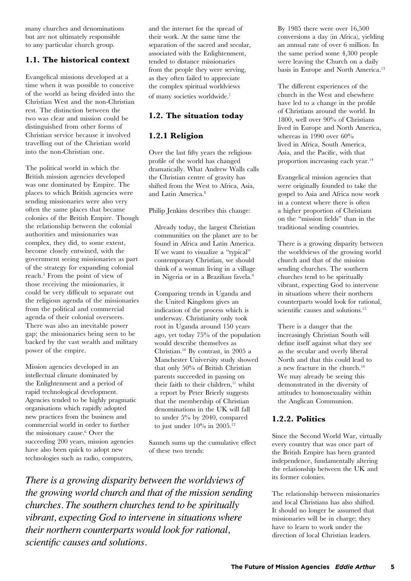many churches and denominations but are not ultimately responsible to any particular church group.

## **1.1. The historical context**

Evangelical missions developed at a time when it was possible to conceive of the world as being divided into the Christian West and the non-Christian rest. The distinction between the two was clear and mission could be distinguished from other forms of Christian service because it involved travelling out of the Christian world into the non-Christian one.

The political world in which the British mission agencies developed was one dominated by Empire. The places to which British agencies were sending missionaries were also very often the same places that became colonies of the British Empire. Though the relationship between the colonial authorities and missionaries was complex, they did, to some extent, become closely entwined, with the government seeing missionaries as part of the strategy for expanding colonial reach.5 From the point of view of those receiving the missionaries, it could be very difficult to separate out the religious agenda of the missionaries from the political and commercial agenda of their colonial overseers. There was also an inevitable power gap; the missionaries being seen to be backed by the vast wealth and military power of the empire.

Mission agencies developed in an intellectual climate dominated by the Enlightenment and a period of rapid technological development. Agencies tended to be highly pragmatic organisations which rapidly adopted new practices from the business and commercial world in order to further the missionary cause.6 Over the succeeding 200 years, mission agencies have also been quick to adopt new technologies such as radio, computers,

and the internet for the spread of their work. At the same time the separation of the sacred and secular, associated with the Enlightenment, tended to distance missionaries from the people they were serving, as they often failed to appreciate the complex spiritual worldviews of many societies worldwide.7

## **1.2. The situation today**

## **1.2.1 Religion**

Over the last fifty years the religious profile of the world has changed dramatically. What Andrew Walls calls the Christian centre of gravity has shifted from the West to Africa, Asia, and Latin America.8

Philip Jenkins describes this change:

Already today, the largest Christian communities on the planet are to be found in Africa and Latin America. If we want to visualize a "typical" contemporary Christian, we should think of a woman living in a village in Nigeria or in a Brazilian favela.9

Comparing trends in Uganda and the United Kingdom gives an indication of the process which is underway. Christianity only took root in Uganda around 150 years ago, yet today 75% of the population would describe themselves as Christian.10 By contrast, in 2005 a Manchester University study showed that only 50% of British Christian parents succeeded in passing on their faith to their children,<sup>11</sup> whilst a report by Peter Brierly suggests that the membership of Christian denominations in the UK will fall to under 5% by 2040, compared to just under  $10\%$  in 2005.<sup>12</sup>

Sanneh sums up the cumulative effect of these two trends:

*There is a growing disparity between the worldviews of the growing world church and that of the mission sending churches. The southern churches tend to be spiritually vibrant, expecting God to intervene in situations where their northern counterparts would look for rational, scientific causes and solutions.*

By 1985 there were over 16,500 conversions a day (in Africa), yielding an annual rate of over 6 million. In the same period some 4,300 people were leaving the Church on a daily basis in Europe and North America.13

The different experiences of the church in the West and elsewhere have led to a change in the profile of Christians around the world. In 1800, well over 90% of Christians lived in Europe and North America, whereas in 1990 over  $60\%$ lived in Africa, South America, Asia, and the Pacific, with that proportion increasing each year.14

Evangelical mission agencies that were originally founded to take the gospel to Asia and Africa now work in a context where there is often a higher proportion of Christians on the "mission fields" than in the traditional sending countries.

There is a growing disparity between the worldviews of the growing world church and that of the mission sending churches. The southern churches tend to be spiritually vibrant, expecting God to intervene in situations where their northern counterparts would look for rational, scientific causes and solutions.<sup>15</sup>

There is a danger that the increasingly Christian South will define itself against what they see as the secular and overly liberal North and that this could lead to a new fracture in the church.16 We may already be seeing this demonstrated in the diversity of attitudes to homosexuality within the Anglican Communion.

## **1.2.2. Politics**

Since the Second World War, virtually every country that was once part of the British Empire has been granted independence, fundamentally altering the relationship between the UK and its former colonies.

The relationship between missionaries and local Christians has also shifted. It should no longer be assumed that missionaries will be in charge; they have to learn to work under the direction of local Christian leaders.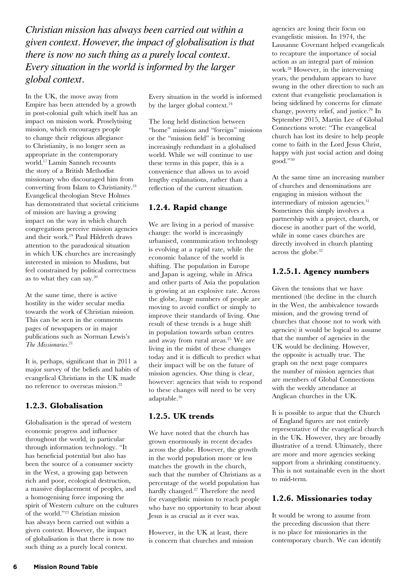*Christian mission has always been carried out within a given context. However, the impact of globalisation is that there is now no such thing as a purely local context. Every situation in the world is informed by the larger global context.*

In the UK, the move away from Empire has been attended by a growth in post-colonial guilt which itself has an impact on mission work. Proselytising mission, which encourages people to change their religious allegiance to Christianity, is no longer seen as appropriate in the contemporary world.17 Lamin Sanneh recounts the story of a British Methodist missionary who discouraged him from converting from Islam to Christianity.18 Evangelical theologian Steve Holmes has demonstrated that societal criticisms of mission are having a growing impact on the way in which church congregations perceive mission agencies and their work.19 Paul Hildreth draws attention to the paradoxical situation in which UK churches are increasingly interested in mission to Muslims, but feel constrained by political correctness as to what they can say.20

At the same time, there is active hostility in the wider secular media towards the work of Christian mission. This can be seen in the comments pages of newspapers or in major publications such as Norman Lewis's *The Missionaries*. 21

It is, perhaps, significant that in 2011 a major survey of the beliefs and habits of evangelical Christians in the UK made no reference to overseas mission.22

## **1.2.3. Globalisation**

Globalisation is the spread of western economic progress and influence throughout the world, in particular through information technology. "It has beneficial potential but also has been the source of a consumer society in the West, a growing gap between rich and poor, ecological destruction, a massive displacement of peoples, and a homogenising force imposing the spirit of Western culture on the cultures of the world."23 Christian mission has always been carried out within a given context. However, the impact of globalisation is that there is now no such thing as a purely local context.

Every situation in the world is informed by the larger global context.<sup>24</sup>

The long held distinction between "home" missions and "foreign" missions or the "mission field" is becoming increasingly redundant in a globalised world. While we will continue to use these terms in this paper, this is a convenience that allows us to avoid lengthy explanations, rather than a reflection of the current situation.

## **1.2.4. Rapid change**

We are living in a period of massive change: the world is increasingly urbanised, communication technology is evolving at a rapid rate, while the economic balance of the world is shifting. The population in Europe and Japan is ageing, while in Africa and other parts of Asia the population is growing at an explosive rate. Across the globe, huge numbers of people are moving to avoid conflict or simply to improve their standards of living. One result of these trends is a huge shift in population towards urban centres and away from rural areas.25 We are living in the midst of these changes today and it is difficult to predict what their impact will be on the future of mission agencies. One thing is clear, however: agencies that wish to respond to these changes will need to be very adaptable.26

#### **1.2.5. UK trends**

We have noted that the church has grown enormously in recent decades across the globe. However, the growth in the world population more or less matches the growth in the church, such that the number of Christians as a percentage of the world population has hardly changed.<sup>27</sup> Therefore the need for evangelistic mission to reach people who have no opportunity to hear about Jesus is as crucial as it ever was.

However, in the UK at least, there is concern that churches and mission

agencies are losing their focus on evangelistic mission. In 1974, the Lausanne Covenant helped evangelicals to recapture the importance of social action as an integral part of mission work.28 However, in the intervening years, the pendulum appears to have swung in the other direction to such an extent that evangelistic proclamation is being sidelined by concerns for climate change, poverty relief, and justice.29 In September 2015, Martin Lee of Global Connections wrote: "The evangelical church has lost its desire to help people come to faith in the Lord Jesus Christ, happy with just social action and doing good."30

At the same time an increasing number of churches and denominations are engaging in mission without the intermediary of mission agencies.<sup>31</sup> Sometimes this simply involves a partnership with a project, church, or diocese in another part of the world, while in some cases churches are directly involved in church planting across the globe.<sup>32</sup>

## **1.2.5.1. Agency numbers**

Given the tensions that we have mentioned (the decline in the church in the West, the ambivalence towards mission, and the growing trend of churches that choose not to work with agencies) it would be logical to assume that the number of agencies in the UK would be declining. However, the opposite is actually true. The graph on the next page compares the number of mission agencies that are members of Global Connections with the weekly attendance at Anglican churches in the UK.

It is possible to argue that the Church of England figures are not entirely representative of the evangelical church in the UK. However, they are broadly illustrative of a trend. Ultimately, there are more and more agencies seeking support from a shrinking constituency. This is not sustainable even in the short to mid-term.

#### **1.2.6. Missionaries today**

It would be wrong to assume from the preceding discussion that there is no place for missionaries in the contemporary church. We can identify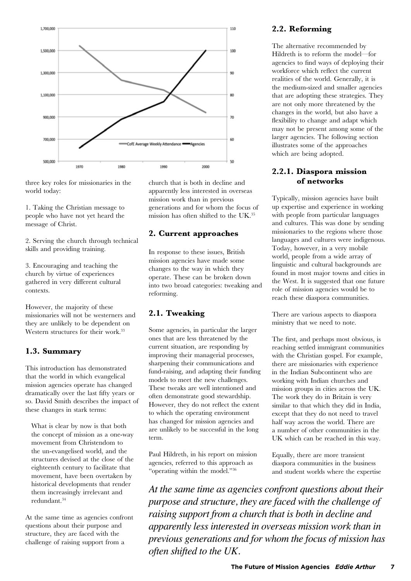

three key roles for missionaries in the world today:

1. Taking the Christian message to people who have not yet heard the message of Christ.

2. Serving the church through technical skills and providing training.

3. Encouraging and teaching the church by virtue of experiences gathered in very different cultural contexts.

However, the majority of these missionaries will not be westerners and they are unlikely to be dependent on Western structures for their work.<sup>33</sup>

#### **1.3. Summary**

This introduction has demonstrated that the world in which evangelical mission agencies operate has changed dramatically over the last fifty years or so. David Smith describes the impact of these changes in stark terms:

What is clear by now is that both the concept of mission as a one-way movement from Christendom to the un-evangelised world, and the structures devised at the close of the eighteenth century to facilitate that movement, have been overtaken by historical developments that render them increasingly irrelevant and redundant.34

At the same time as agencies confront questions about their purpose and structure, they are faced with the challenge of raising support from a

church that is both in decline and apparently less interested in overseas mission work than in previous generations and for whom the focus of mission has often shifted to the UK.35

#### **2. Current approaches**

In response to these issues, British mission agencies have made some changes to the way in which they operate. These can be broken down into two broad categories: tweaking and reforming.

#### **2.1. Tweaking**

Some agencies, in particular the larger ones that are less threatened by the current situation, are responding by improving their managerial processes, sharpening their communications and fund-raising, and adapting their funding models to meet the new challenges. These tweaks are well intentioned and often demonstrate good stewardship. However, they do not reflect the extent to which the operating environment has changed for mission agencies and are unlikely to be successful in the long term.

Paul Hildreth, in his report on mission agencies, referred to this approach as "operating within the model."36

#### **2.2. Reforming**

The alternative recommended by Hildreth is to reform the model—for agencies to find ways of deploying their workforce which reflect the current realities of the world. Generally, it is the medium-sized and smaller agencies that are adopting these strategies. They are not only more threatened by the changes in the world, but also have a flexibility to change and adapt which may not be present among some of the larger agencies. The following section illustrates some of the approaches which are being adopted.

## **2.2.1. Diaspora mission of networks**

Typically, mission agencies have built up expertise and experience in working with people from particular languages and cultures. This was done by sending missionaries to the regions where those languages and cultures were indigenous. Today, however, in a very mobile world, people from a wide array of linguistic and cultural backgrounds are found in most major towns and cities in the West. It is suggested that one future role of mission agencies would be to reach these diaspora communities.

There are various aspects to diaspora ministry that we need to note.

The first, and perhaps most obvious, is reaching settled immigrant communities with the Christian gospel. For example, there are missionaries with experience in the Indian Subcontinent who are working with Indian churches and mission groups in cities across the UK. The work they do in Britain is very similar to that which they did in India, except that they do not need to travel half way across the world. There are a number of other communities in the UK which can be reached in this way.

Equally, there are more transient diaspora communities in the business and student worlds where the expertise

*At the same time as agencies confront questions about their purpose and structure, they are faced with the challenge of raising support from a church that is both in decline and apparently less interested in overseas mission work than in previous generations and for whom the focus of mission has often shifted to the UK.*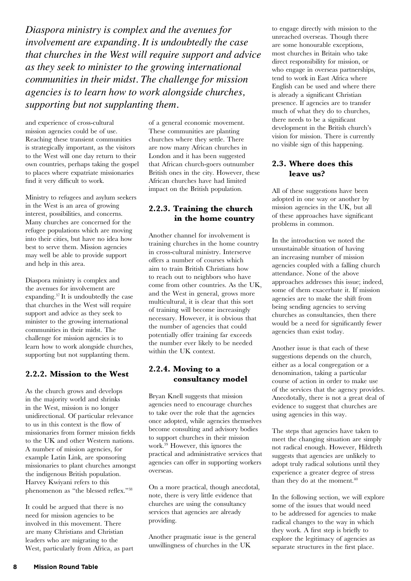*Diaspora ministry is complex and the avenues for involvement are expanding. It is undoubtedly the case that churches in the West will require support and advice as they seek to minister to the growing international communities in their midst. The challenge for mission agencies is to learn how to work alongside churches, supporting but not supplanting them.*

and experience of cross-cultural mission agencies could be of use. Reaching these transient communities is strategically important, as the visitors to the West will one day return to their own countries, perhaps taking the gospel to places where expatriate missionaries find it very difficult to work.

Ministry to refugees and asylum seekers in the West is an area of growing interest, possibilities, and concerns. Many churches are concerned for the refugee populations which are moving into their cities, but have no idea how best to serve them. Mission agencies may well be able to provide support and help in this area.

Diaspora ministry is complex and the avenues for involvement are expanding.37 It is undoubtedly the case that churches in the West will require support and advice as they seek to minister to the growing international communities in their midst. The challenge for mission agencies is to learn how to work alongside churches, supporting but not supplanting them.

## **2.2.2. Mission to the West**

As the church grows and develops in the majority world and shrinks in the West, mission is no longer unidirectional. Of particular relevance to us in this context is the flow of missionaries from former mission fields to the UK and other Western nations. A number of mission agencies, for example Latin Link, are sponsoring missionaries to plant churches amongst the indigenous British population. Harvey Kwiyani refers to this phenomenon as "the blessed reflex."38

It could be argued that there is no need for mission agencies to be involved in this movement. There are many Christians and Christian leaders who are migrating to the West, particularly from Africa, as part

of a general economic movement. These communities are planting churches where they settle. There are now many African churches in London and it has been suggested that African church-goers outnumber British ones in the city. However, these African churches have had limited impact on the British population.

## **2.2.3. Training the church in the home country**

Another channel for involvement is training churches in the home country in cross-cultural ministry. Interserve offers a number of courses which aim to train British Christians how to reach out to neighbors who have come from other countries. As the UK, and the West in general, grows more multicultural, it is clear that this sort of training will become increasingly necessary. However, it is obvious that the number of agencies that could potentially offer training far exceeds the number ever likely to be needed within the UK context.

## **2.2.4. Moving to a consultancy model**

Bryan Knell suggests that mission agencies need to encourage churches to take over the role that the agencies once adopted, while agencies themselves become consulting and advisory bodies to support churches in their mission work.39 However, this ignores the practical and administrative services that agencies can offer in supporting workers overseas.

On a more practical, though anecdotal, note, there is very little evidence that churches are using the consultancy services that agencies are already providing.

Another pragmatic issue is the general unwillingness of churches in the UK

to engage directly with mission to the unreached overseas. Though there are some honourable exceptions, most churches in Britain who take direct responsibility for mission, or who engage in overseas partnerships, tend to work in East Africa where English can be used and where there is already a significant Christian presence. If agencies are to transfer much of what they do to churches, there needs to be a significant development in the British church's vision for mission. There is currently no visible sign of this happening.

## **2.3. Where does this leave us?**

All of these suggestions have been adopted in one way or another by mission agencies in the UK, but all of these approaches have significant problems in common.

In the introduction we noted the unsustainable situation of having an increasing number of mission agencies coupled with a falling church attendance. None of the above approaches addresses this issue; indeed, some of them exacerbate it. If mission agencies are to make the shift from being sending agencies to serving churches as consultancies, then there would be a need for significantly fewer agencies than exist today.

Another issue is that each of these suggestions depends on the church, either as a local congregation or a denomination, taking a particular course of action in order to make use of the services that the agency provides. Anecdotally, there is not a great deal of evidence to suggest that churches are using agencies in this way.

The steps that agencies have taken to meet the changing situation are simply not radical enough. However, Hildreth suggests that agencies are unlikely to adopt truly radical solutions until they experience a greater degree of stress than they do at the moment.<sup>40</sup>

In the following section, we will explore some of the issues that would need to be addressed for agencies to make radical changes to the way in which they work. A first step is briefly to explore the legitimacy of agencies as separate structures in the first place.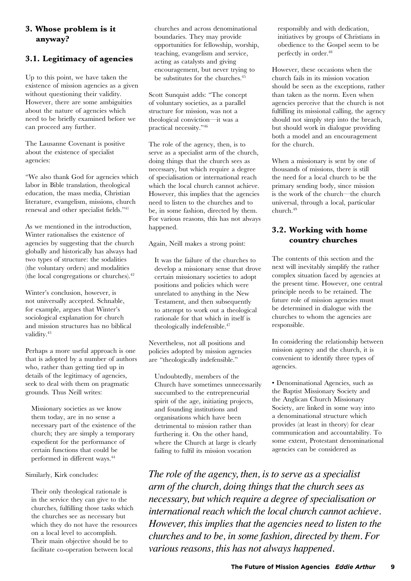## **3. Whose problem is it anyway?**

## **3.1. Legitimacy of agencies**

Up to this point, we have taken the existence of mission agencies as a given without questioning their validity. However, there are some ambiguities about the nature of agencies which need to be briefly examined before we can proceed any further.

The Lausanne Covenant is positive about the existence of specialist agencies:

"We also thank God for agencies which labor in Bible translation, theological education, the mass media, Christian literature, evangelism, missions, church renewal and other specialist fields."41

As we mentioned in the introduction, Winter rationalises the existence of agencies by suggesting that the church globally and historically has always had two types of structure: the sodalities (the voluntary orders) and modalities (the local congregations or churches).42

Winter's conclusion, however, is not universally accepted. Schnable, for example, argues that Winter's sociological explanation for church and mission structures has no biblical validity.<sup>43</sup>

Perhaps a more useful approach is one that is adopted by a number of authors who, rather than getting tied up in details of the legitimacy of agencies, seek to deal with them on pragmatic grounds. Thus Neill writes:

Missionary societies as we know them today, are in no sense a necessary part of the existence of the church; they are simply a temporary expedient for the performance of certain functions that could be performed in different ways.44

#### Similarly, Kirk concludes:

Their only theological rationale is in the service they can give to the churches, fulfilling those tasks which the churches see as necessary but which they do not have the resources on a local level to accomplish. Their main objective should be to facilitate co-operation between local

churches and across denominational boundaries. They may provide opportunities for fellowship, worship, teaching, evangelism and service, acting as catalysts and giving encouragement, but never trying to be substitutes for the churches.<sup>45</sup>

Scott Sunquist adds: "The concept of voluntary societies, as a parallel structure for mission, was not a theological conviction—it was a practical necessity."46

The role of the agency, then, is to serve as a specialist arm of the church, doing things that the church sees as necessary, but which require a degree of specialisation or international reach which the local church cannot achieve. However, this implies that the agencies need to listen to the churches and to be, in some fashion, directed by them. For various reasons, this has not always happened.

Again, Neill makes a strong point:

It was the failure of the churches to develop a missionary sense that drove certain missionary societies to adopt positions and policies which were unrelated to anything in the New Testament, and then subsequently to attempt to work out a theological rationale for that which in itself is theologically indefensible.<sup>47</sup>

Nevertheless, not all positions and policies adopted by mission agencies are "theologically indefensible."

Undoubtedly, members of the Church have sometimes unnecessarily succumbed to the entrepreneurial spirit of the age, initiating projects, and founding institutions and organisations which have been detrimental to mission rather than furthering it. On the other hand, where the Church at large is clearly failing to fulfil its mission vocation

responsibly and with dedication, initiatives by groups of Christians in obedience to the Gospel seem to be perfectly in order.48

However, these occasions when the church fails in its mission vocation should be seen as the exceptions, rather than taken as the norm. Even when agencies perceive that the church is not fulfilling its missional calling, the agency should not simply step into the breach, but should work in dialogue providing both a model and an encouragement for the church.

When a missionary is sent by one of thousands of missions, there is still the need for a local church to be the primary sending body, since mission is the work of the church—the church universal, through a local, particular church.49

## **3.2. Working with home country churches**

The contents of this section and the next will inevitably simplify the rather complex situation faced by agencies at the present time. However, one central principle needs to be retained. The future role of mission agencies must be determined in dialogue with the churches to whom the agencies are responsible.

In considering the relationship between mission agency and the church, it is convenient to identify three types of agencies.

• Denominational Agencies, such as the Baptist Missionary Society and the Anglican Church Missionary Society, are linked in some way into a denominational structure which provides (at least in theory) for clear communication and accountability. To some extent, Protestant denominational agencies can be considered as

*The role of the agency, then, is to serve as a specialist arm of the church, doing things that the church sees as necessary, but which require a degree of specialisation or international reach which the local church cannot achieve. However, this implies that the agencies need to listen to the churches and to be, in some fashion, directed by them. For various reasons, this has not always happened.*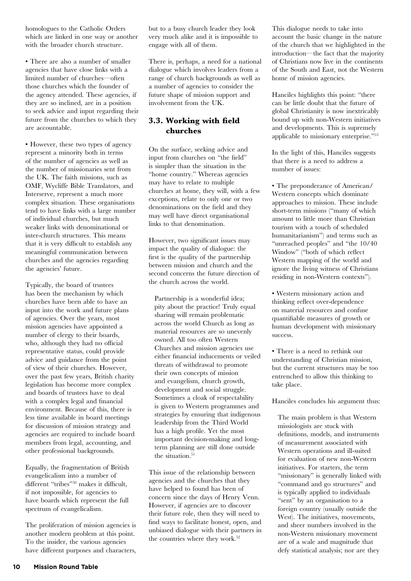homologues to the Catholic Orders which are linked in one way or another with the broader church structure.

• There are also a number of smaller agencies that have close links with a limited number of churches—often those churches which the founder of the agency attended. These agencies, if they are so inclined, are in a position to seek advice and input regarding their future from the churches to which they are accountable.

• However, these two types of agency represent a minority both in terms of the number of agencies as well as the number of missionaries sent from the UK. The faith missions, such as OMF, Wycliffe Bible Translators, and Interserve, represent a much more complex situation. These organisations tend to have links with a large number of individual churches, but much weaker links with denominational or inter-church structures. This means that it is very difficult to establish any meaningful communication between churches and the agencies regarding the agencies' future.

Typically, the board of trustees has been the mechanism by which churches have been able to have an input into the work and future plans of agencies. Over the years, most mission agencies have appointed a number of clergy to their boards, who, although they had no official representative status, could provide advice and guidance from the point of view of their churches. However, over the past few years, British charity legislation has become more complex and boards of trustees have to deal with a complex legal and financial environment. Because of this, there is less time available in board meetings for discussion of mission strategy and agencies are required to include board members from legal, accounting, and other professional backgrounds.

Equally, the fragmentation of British evangelicalism into a number of different "tribes"<sup>50</sup> makes it difficult, if not impossible, for agencies to have boards which represent the full spectrum of evangelicalism.

The proliferation of mission agencies is another modern problem at this point. To the insider, the various agencies have different purposes and characters, but to a busy church leader they look very much alike and it is impossible to engage with all of them.

There is, perhaps, a need for a national dialogue which involves leaders from a range of church backgrounds as well as a number of agencies to consider the future shape of mission support and involvement from the UK.

## **3.3. Working with field churches**

On the surface, seeking advice and input from churches on "the field" is simpler than the situation in the "home country." Whereas agencies may have to relate to multiple churches at home, they will, with a few exceptions, relate to only one or two denominations on the field and they may well have direct organisational links to that denomination.

However, two significant issues may impact the quality of dialogue: the first is the quality of the partnership between mission and church and the second concerns the future direction of the church across the world.

Partnership is a wonderful idea; pity about the practice! Truly equal sharing will remain problematic across the world Church as long as material resources are so unevenly owned. All too often Western Churches and mission agencies use either financial inducements or veiled threats of withdrawal to promote their own concepts of mission and evangelism, church growth, development and social struggle. Sometimes a cloak of respectability is given to Western programmes and strategies by ensuring that indigenous leadership from the Third World has a high profile. Yet the most important decision-making and longterm planning are still done outside the situation. $51$ 

This issue of the relationship between agencies and the churches that they have helped to found has been of concern since the days of Henry Venn. However, if agencies are to discover their future role, then they will need to find ways to facilitate honest, open, and unbiased dialogue with their partners in the countries where they work.<sup>52</sup>

This dialogue needs to take into account the basic change in the nature of the church that we highlighted in the introduction—the fact that the majority of Christians now live in the continents of the South and East, not the Western home of mission agencies.

Hanciles highlights this point: "there can be little doubt that the future of global Christianity is now inextricably bound up with non-Western initiatives and developments. This is supremely applicable to missionary enterprise."53

In the light of this, Hanciles suggests that there is a need to address a number of issues:

• The preponderance of American/ Western concepts which dominate approaches to mission. These include short-term missions ("many of which amount to little more than Christian tourism with a touch of scheduled humanitarianism") and terms such as "unreached peoples" and "the 10/40 Window" ("both of which reflect Western mapping of the world and ignore the living witness of Christians residing in non-Western contexts").

• Western missionary action and thinking reflect over-dependence on material resources and confuse quantifiable measures of growth or human development with missionary success.

• There is a need to rethink our understanding of Christian mission, but the current structures may be too entrenched to allow this thinking to take place.

Hanciles concludes his argument thus:

The main problem is that Western missiologists are stuck with definitions, models, and instruments of measurement associated with Western operations and ill-suited for evaluation of new non-Western initiatives. For starters, the term "missionary" is generally linked with "command and go structures" and is typically applied to individuals "sent" by an organisation to a foreign country (usually outside the West). The initiatives, movements, and sheer numbers involved in the non-Western missionary movement are of a scale and magnitude that defy statistical analysis; nor are they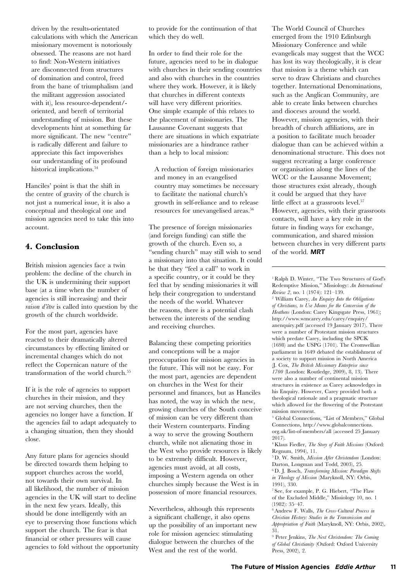driven by the results-orientated calculations with which the American missionary movement is notoriously obsessed. The reasons are not hard to find: Non-Western initiatives are disconnected from structures of domination and control, freed from the bane of triumphalism (and the militant aggression associated with it), less resource-dependent/ oriented, and bereft of territorial understanding of mission. But these developments hint at something far more significant. The new "centre" is radically different and failure to appreciate this fact impoverishes our understanding of its profound historical implications.<sup>54</sup>

Hanciles' point is that the shift in the centre of gravity of the church is not just a numerical issue, it is also a conceptual and theological one and mission agencies need to take this into account.

## **4. Conclusion**

British mission agencies face a twin problem: the decline of the church in the UK is undermining their support base (at a time when the number of agencies is still increasing) and their *raison d'être* is called into question by the growth of the church worldwide.

For the most part, agencies have reacted to their dramatically altered circumstances by effecting limited or incremental changes which do not reflect the Copernican nature of the transformation of the world church.55

If it is the role of agencies to support churches in their mission, and they are not serving churches, then the agencies no longer have a function. If the agencies fail to adapt adequately to a changing situation, then they should close.

Any future plans for agencies should be directed towards them helping to support churches across the world, not towards their own survival. In all likelihood, the number of mission agencies in the UK will start to decline in the next few years. Ideally, this should be done intelligently with an eye to preserving those functions which support the church. The fear is that financial or other pressures will cause agencies to fold without the opportunity to provide for the continuation of that which they do well.

In order to find their role for the future, agencies need to be in dialogue with churches in their sending countries and also with churches in the countries where they work. However, it is likely that churches in different contexts will have very different priorities. One simple example of this relates to the placement of missionaries. The Lausanne Covenant suggests that there are situations in which expatriate missionaries are a hindrance rather than a help to local mission:

A reduction of foreign missionaries and money in an evangelised country may sometimes be necessary to facilitate the national church's growth in self-reliance and to release resources for unevangelised areas.<sup>56</sup>

The presence of foreign missionaries (and foreign funding) can stifle the growth of the church. Even so, a "sending church" may still wish to send a missionary into that situation. It could be that they "feel a call" to work in a specific country, or it could be they feel that by sending missionaries it will help their congregation to understand the needs of the world. Whatever the reasons, there is a potential clash between the interests of the sending and receiving churches.

Balancing these competing priorities and conceptions will be a major preoccupation for mission agencies in the future. This will not be easy. For the most part, agencies are dependent on churches in the West for their personnel and finances, but as Hanciles has noted, the way in which the new, growing churches of the South conceive of mission can be very different than their Western counterparts. Finding a way to serve the growing Southern church, while not alienating those in the West who provide resources is likely to be extremely difficult. However, agencies must avoid, at all costs, imposing a Western agenda on other churches simply because the West is in possession of more financial resources.

Nevertheless, although this represents a significant challenge, it also opens up the possibility of an important new role for mission agencies: stimulating dialogue between the churches of the West and the rest of the world.

The World Council of Churches emerged from the 1910 Edinburgh Missionary Conference and while evangelicals may suggest that the WCC has lost its way theologically, it is clear that mission is a theme which can serve to draw Christians and churches together. International Denominations, such as the Anglican Community, are able to create links between churches and dioceses around the world. However, mission agencies, with their breadth of church affiliations, are in a position to facilitate much broader dialogue than can be achieved within a denominational structure. This does not suggest recreating a large conference or organisation along the lines of the WCC or the Lausanne Movement; those structures exist already, though it could be argued that they have little effect at a grassroots level.<sup>57</sup> However, agencies, with their grassroots contacts, will have a key role in the future in finding ways for exchange, communication, and shared mission between churches in very different parts of the world. MRT

 William Carey, *An Enquiry Into the Obligations of Christians, to Use Means for the Conversion of the Heathens* (London: Carey Kingsgate Press, 1961); http://www.wmcarey.edu/carey/enquiry/ anenquiry.pdf (accessed 19 January 2017). There were a number of Protestant mission structures which predate Carey, including the SPCK (1698) and the USPG (1701). The Cromwellian parliament in 1649 debated the establishment of a society to support mission in North America (J. Cox, *The British Missionary Enterprise since 1700* (London: Routledge, 2009), 8, 13). There were also a number of continental mission structures in existence as Carey acknowledges in his Enquiry. However, Carey provided both a theological rationale and a pragmatic structure which allowed for the flowering of the Protestant mission movement.

3 Global Connections, "List of Members," Global Connections, http://www.globalconnections. org.uk/list-of-members/all (accessed 25 January 2017).

4 Klaus Fiedler, *The Story of Faith Missions* (Oxford: Regnum, 1994), 11.

5 D. W. Smith, *Mission After Christendom* (London: Darton, Longman and Todd, 2003), 25.

6 D. J. Bosch, *Transforming Mission: Paradigm Shifts in Theology of Mission* (Maryknoll, NY: Orbis, 1991), 330.

7 See, for example, P. G. Hiebert, "The Flaw of the Excluded Middle," Missiology 10, no. 1 (1982): 35–47.

8 Andrew F. Walls, *The Cross-Cultural Process in Christian History: Studies in the Transmission and Appropriation of Faith* (Maryknoll, NY: Orbis, 2002), 31.

9 Peter Jenkins, *The Next Christendom: The Coming of Global Christianity* (Oxford: Oxford University Press, 2002), 2.

<sup>1</sup> Ralph D. Winter, "The Two Structures of God's Redemptive Mission," Missiology: *An International Review 2*, no. 1 (1974): 121-139.